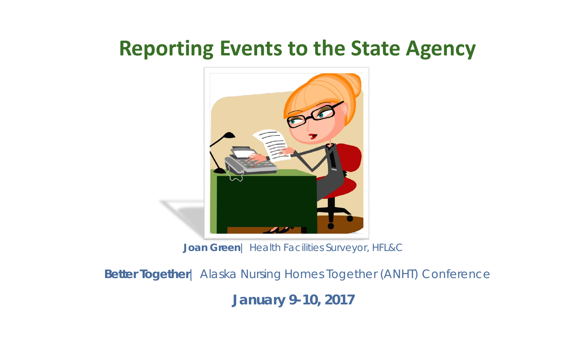### **Reporting Events to the State Agency**



**Joan Green**| Health Facilities Surveyor, HFL&C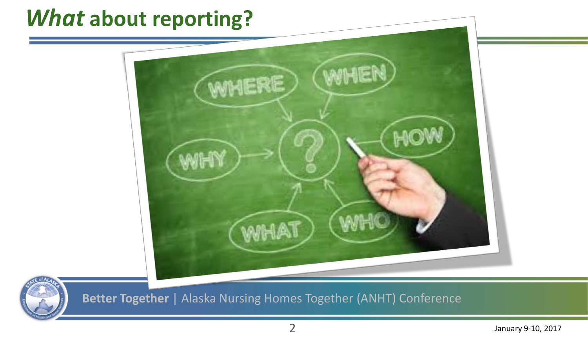## *What* **about reporting?**





**Better Together** | Alaska Nursing Homes Together (ANHT) Conference

January 9-10, 2017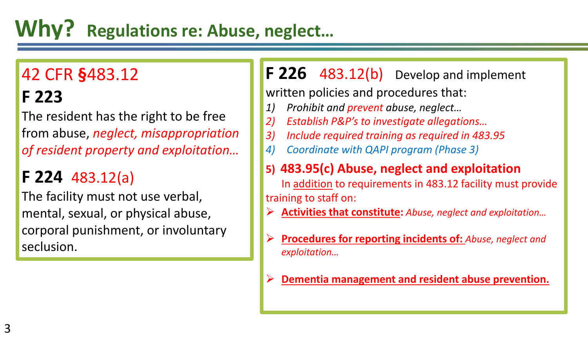# **Why? Regulations re: Abuse, neglect…**

# 42 CFR **§**483.12

### **F 223**

The resident has the right to be free from abuse, *neglect, misappropriation of resident property and exploitation…*

### **F 224** 483.12(a)

The facility must not use verbal, mental, sexual, or physical abuse, corporal punishment, or involuntary seclusion.

**F 226** 483.12(b) Develop and implement

written policies and procedures that:

- *1) Prohibit and prevent abuse, neglect…*
- *2) Establish P&P's to investigate allegations…*
- *3) Include required training as required in 483.95*
- *4) Coordinate with QAPI program (Phase 3)*

#### **5) 483.95(c) Abuse, neglect and exploitation**

In addition to requirements in 483.12 facility must provide training to staff on:

- **Activities that constitute:** *Abuse, neglect and exploitation…*
- **Procedures for reporting incidents of:** *Abuse, neglect and exploitation…*
- **Dementia management and resident abuse prevention.**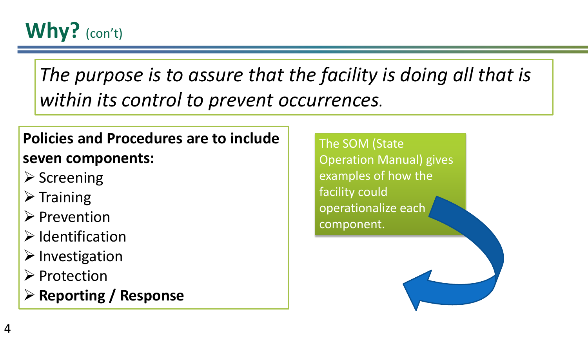

*The purpose is to assure that the facility is doing all that is within its control to prevent occurrences.*

#### **Policies and Procedures are to include seven components:**

- $\triangleright$  Screening
- $\triangleright$  Training
- $\triangleright$  Prevention
- $\triangleright$  Identification
- $\triangleright$  Investigation
- $\triangleright$  Protection
- **Reporting / Response**

The SOM (State Operation Manual) gives examples of how the facility could operationalize each component.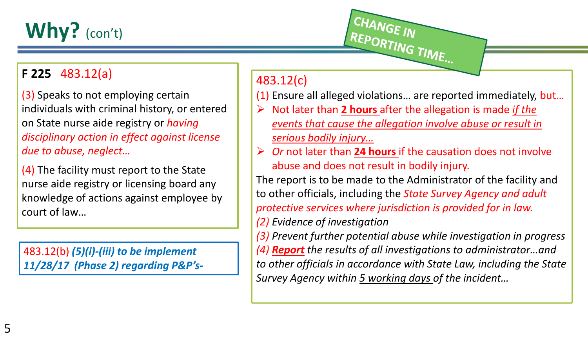# **Why?** (con't)

#### **F 225** 483.12(a)

(3) Speaks to not employing certain individuals with criminal history, or entered on State nurse aide registry or *having disciplinary action in effect against license due to abuse, neglect…*

(4) The facility must report to the State nurse aide registry or licensing board any knowledge of actions against employee by court of law…

483.12(b) *(5)(i)-(iii) to be implement 11/28/17 (Phase 2) regarding P&P's-*

#### 483.12(c)

(1) Ensure all alleged violations… are reported immediately, but…

REPORTING TIME...

 Not later than **2 hours** after the allegation is made *if the events that cause the allegation involve abuse or result in serious bodily injury…*

CHANGE IN

 *Or* not later than **24 hours** if the causation does not involve abuse and does not result in bodily injury.

The report is to be made to the Administrator of the facility and to other officials, including the *State Survey Agency and adult protective services where jurisdiction is provided for in law. (2) Evidence of investigation*

*(3) Prevent further potential abuse while investigation in progress (4) Report the results of all investigations to administrator…and to other officials in accordance with State Law, including the State Survey Agency within 5 working days of the incident…*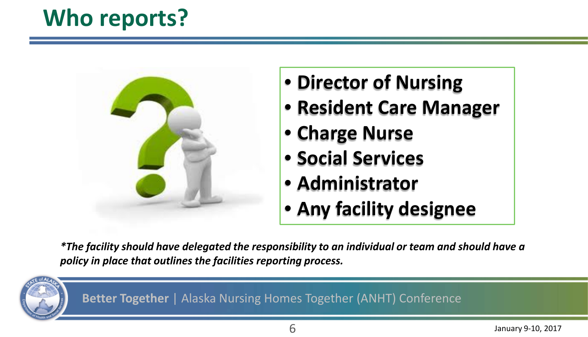# **Who reports?**



- **Director of Nursing**
- **Resident Care Manager**
- **Charge Nurse**
- **Social Services**
- **Administrator**
- **Any facility designee**

*\*The facility should have delegated the responsibility to an individual or team and should have a policy in place that outlines the facilities reporting process.*

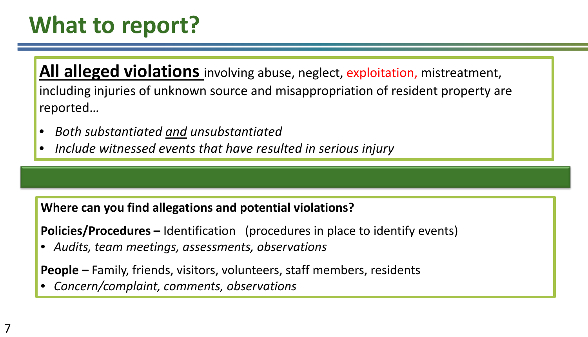# **What to report?**

**All alleged violations** involving abuse, neglect, exploitation, mistreatment, including injuries of unknown source and misappropriation of resident property are reported…

- *Both substantiated and unsubstantiated*
- *Include witnessed events that have resulted in serious injury*

#### **Where can you find allegations and potential violations?**

**Policies/Procedures –** Identification (procedures in place to identify events)

• *Audits, team meetings, assessments, observations*

**People –** Family, friends, visitors, volunteers, staff members, residents

• *Concern/complaint, comments, observations*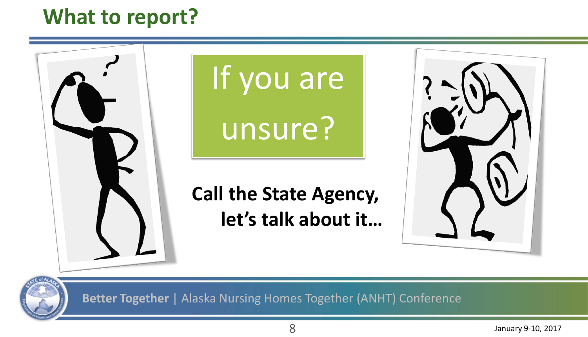## **What to report?**

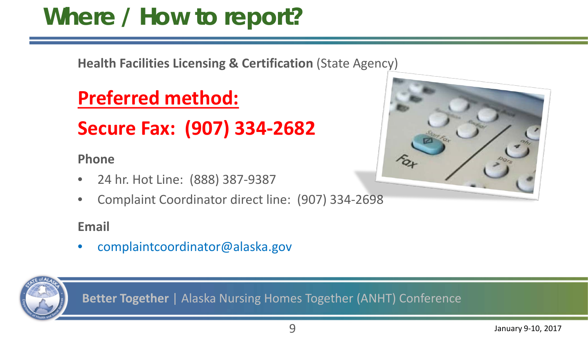# **Where / How to report?**

**Health Facilities Licensing & Certification** (State Agency)

### **Preferred method:**

### **Secure Fax: (907) 334-2682**

#### **Phone**

- 24 hr. Hot Line: (888) 387-9387
- Complaint Coordinator direct line: (907) 334-2698

#### **Email**

• complaintcoordinator@alaska.gov



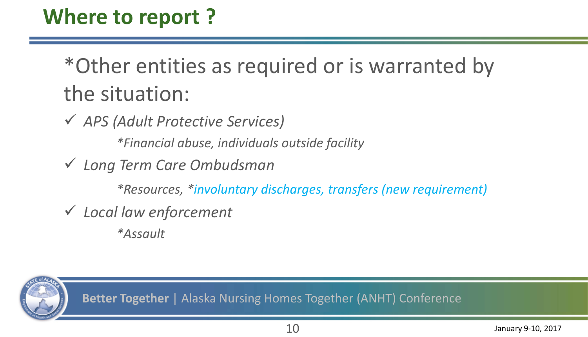# \*Other entities as required or is warranted by the situation:

*APS (Adult Protective Services)*

*\*Financial abuse, individuals outside facility*

*Long Term Care Ombudsman* 

*\*Resources, \*involuntary discharges, transfers (new requirement)*

*Local law enforcement* 

*\*Assault*

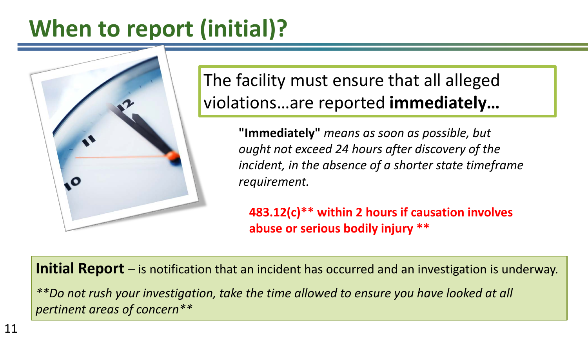# **When to report (initial)?**



The facility must ensure that all alleged violations…are reported **immediately…**

> **"Immediately"** *means as soon as possible, but ought not exceed 24 hours after discovery of the incident, in the absence of a shorter state timeframe requirement.*

**483.12(c)\*\* within 2 hours if causation involves abuse or serious bodily injury \*\***

**Initial Report** – is notification that an incident has occurred and an investigation is underway.

*\*\*Do not rush your investigation, take the time allowed to ensure you have looked at all pertinent areas of concern\*\**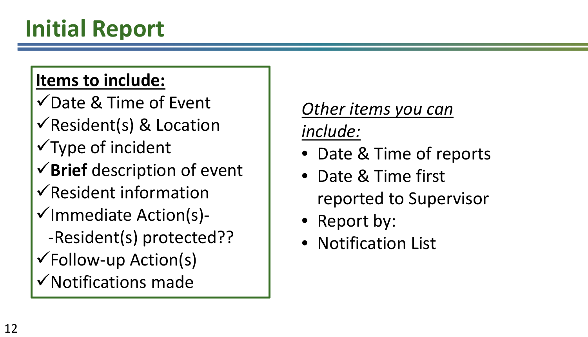#### **Items to include:**

- $\sqrt{\text{Date } 8}$  Time of Event
- $\checkmark$  Resident(s) & Location
- $\sqrt{\text{Type of incident}}$
- **Brief** description of event
- $\sqrt{\mathsf{Resident}}$  information
- $\checkmark$ Immediate Action(s)- -Resident(s) protected?? Follow-up Action(s)
- $\checkmark$  Notifications made

## *Other items you can*

*include:*

- Date & Time of reports
- Date & Time first reported to Supervisor
- Report by:
- Notification List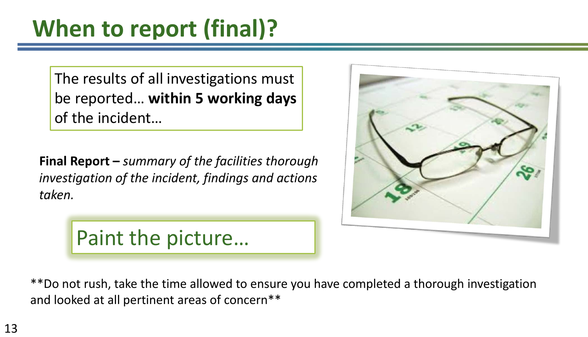The results of all investigations must be reported… **within 5 working days**  of the incident…

**Final Report –** *summary of the facilities thorough investigation of the incident, findings and actions taken.* 





\*\*Do not rush, take the time allowed to ensure you have completed a thorough investigation and looked at all pertinent areas of concern\*\*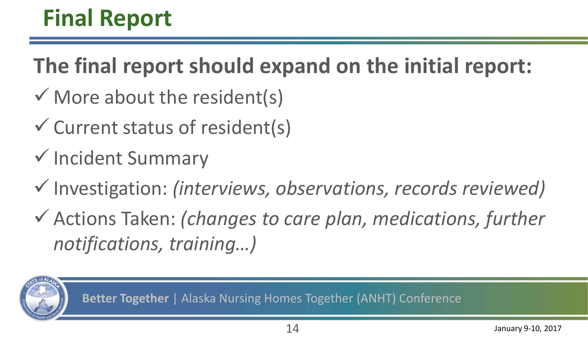**The final report should expand on the initial report:**

- $\checkmark$  More about the resident(s)
- $\checkmark$  Current status of resident(s)
- $\checkmark$  Incident Summary
- Investigation: *(interviews, observations, records reviewed)*
- Actions Taken: *(changes to care plan, medications, further notifications, training…)*

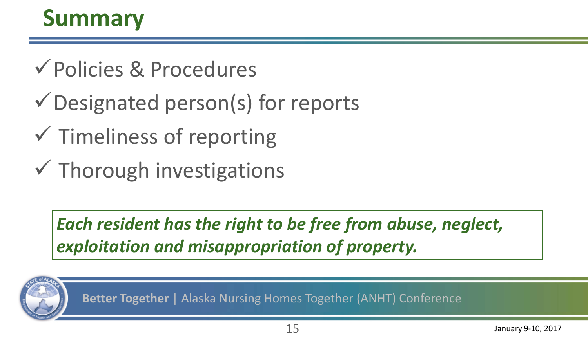# **Summary**

- Policies & Procedures
- Designated person(s) for reports
- $\checkmark$  Timeliness of reporting
- $\checkmark$  Thorough investigations

*Each resident has the right to be free from abuse, neglect, exploitation and misappropriation of property.*